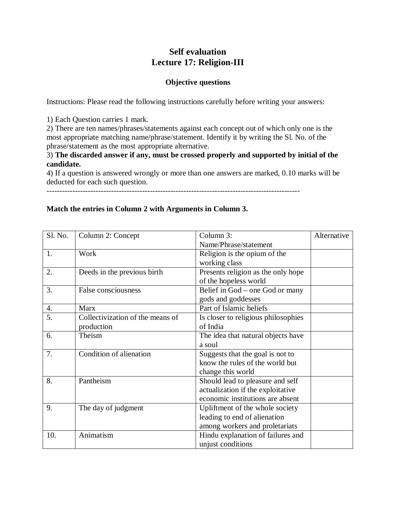# **Self evaluation Lecture 17: Religion-III**

#### **Objective questions**

Instructions: Please read the following instructions carefully before writing your answers:

1) Each Question carries 1 mark.

2) There are ten names/phrases/statements against each concept out of which only one is the most appropriate matching name/phrase/statement. Identify it by writing the Sl. No. of the phrase/statement as the most appropriate alternative.

## 3) **The discarded answer if any, must be crossed properly and supported by initial of the candidate.**

4) If a question is answered wrongly or more than one answers are marked, 0.10 marks will be deducted for each such question.

--------------------------------------------------------------------------------------------------

### **Match the entries in Column 2 with Arguments in Column 3.**

| Sl. No. | Column 2: Concept                | Column 3:                           | Alternative |
|---------|----------------------------------|-------------------------------------|-------------|
|         |                                  | Name/Phrase/statement               |             |
| 1.      | Work                             | Religion is the opium of the        |             |
|         |                                  | working class                       |             |
| 2.      | Deeds in the previous birth      | Presents religion as the only hope  |             |
|         |                                  | of the hopeless world               |             |
| 3.      | False consciousness              | Belief in God – one God or many     |             |
|         |                                  | gods and goddesses                  |             |
| 4.      | <b>Marx</b>                      | Part of Islamic beliefs             |             |
| 5.      | Collectivization of the means of | Is closer to religious philosophies |             |
|         | production                       | of India                            |             |
| 6.      | Theism                           | The idea that natural objects have  |             |
|         |                                  | a soul                              |             |
| 7.      | Condition of alienation          | Suggests that the goal is not to    |             |
|         |                                  | know the rules of the world but     |             |
|         |                                  | change this world                   |             |
| 8.      | Pantheism                        | Should lead to pleasure and self    |             |
|         |                                  | actualization if the exploitative   |             |
|         |                                  | economic institutions are absent    |             |
| 9.      | The day of judgment              | Upliftment of the whole society     |             |
|         |                                  | leading to end of alienation        |             |
|         |                                  | among workers and proletariats      |             |
| 10.     | Animatism                        | Hindu explanation of failures and   |             |
|         |                                  | unjust conditions                   |             |